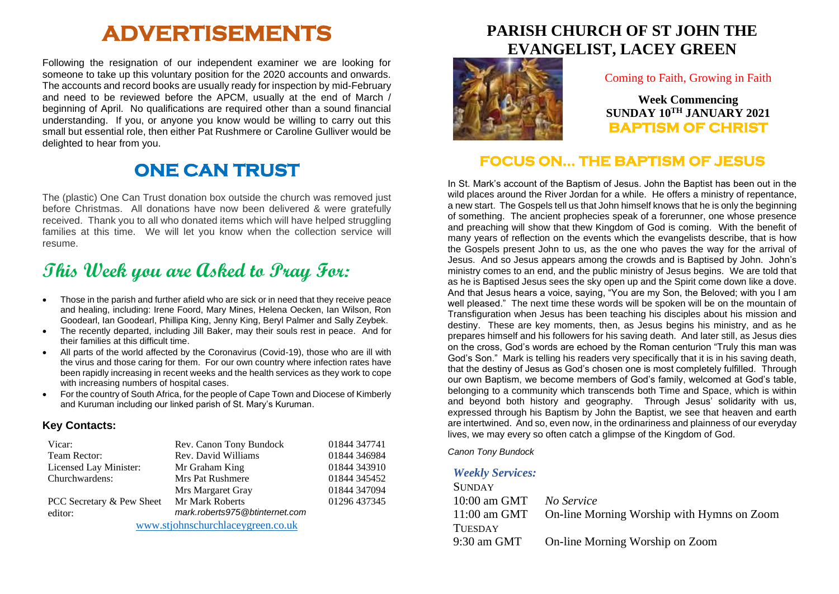# **ADVERTISEMENTS**

Following the resignation of our independent examiner we are looking for someone to take up this voluntary position for the 2020 accounts and onwards. The accounts and record books are usually ready for inspection by mid-February and need to be reviewed before the APCM, usually at the end of March / beginning of April. No qualifications are required other than a sound financial understanding. If you, or anyone you know would be willing to carry out this small but essential role, then either Pat Rushmere or Caroline Gulliver would be delighted to hear from you.

# **ONE CAN TRUST**

The (plastic) One Can Trust donation box outside the church was removed just before Christmas. All donations have now been delivered & were gratefully received. Thank you to all who donated items which will have helped struggling families at this time. We will let you know when the collection service will resume.

# **This Week you are Asked to Pray For:**

- Those in the parish and further afield who are sick or in need that they receive peace and healing, including: Irene Foord, Mary Mines, Helena Oecken, Ian Wilson, Ron Goodearl, Ian Goodearl, Phillipa King, Jenny King, Beryl Palmer and Sally Zeybek.
- The recently departed, including Jill Baker, may their souls rest in peace. And for their families at this difficult time.
- All parts of the world affected by the Coronavirus (Covid-19), those who are ill with the virus and those caring for them. For our own country where infection rates have been rapidly increasing in recent weeks and the health services as they work to cope with increasing numbers of hospital cases.
- For the country of South Africa, for the people of Cape Town and Diocese of Kimberly and Kuruman including our linked parish of St. Mary's Kuruman.

#### **Key Contacts:**

| Vicar:                            | Rev. Canon Tony Bundock        | 01844 347741 |
|-----------------------------------|--------------------------------|--------------|
| Team Rector:                      | Rev. David Williams            | 01844 346984 |
| Licensed Lay Minister:            | Mr Graham King                 | 01844 343910 |
| Churchwardens:                    | <b>Mrs Pat Rushmere</b>        | 01844 345452 |
|                                   | Mrs Margaret Gray              | 01844 347094 |
| PCC Secretary & Pew Sheet         | Mr Mark Roberts                | 01296 437345 |
| editor:                           | mark.roberts975@btinternet.com |              |
| www.stjohnschurchlaceygreen.co.uk |                                |              |

**PARISH CHURCH OF ST JOHN THE EVANGELIST, LACEY GREEN**



#### Coming to Faith, Growing in Faith

**Week Commencing SUNDAY 10TH JANUARY 2021 BAPTISM OF CHRIST** 

### **FOCUS ON… THE BAPTISM OF JESUS**

In St. Mark's account of the Baptism of Jesus. John the Baptist has been out in the wild places around the River Jordan for a while. He offers a ministry of repentance, a new start. The Gospels tell us that John himself knows that he is only the beginning of something. The ancient prophecies speak of a forerunner, one whose presence and preaching will show that thew Kingdom of God is coming. With the benefit of many years of reflection on the events which the evangelists describe, that is how the Gospels present John to us, as the one who paves the way for the arrival of Jesus. And so Jesus appears among the crowds and is Baptised by John. John's ministry comes to an end, and the public ministry of Jesus begins. We are told that as he is Baptised Jesus sees the sky open up and the Spirit come down like a dove. And that Jesus hears a voice, saying, "You are my Son, the Beloved; with you I am well pleased." The next time these words will be spoken will be on the mountain of Transfiguration when Jesus has been teaching his disciples about his mission and destiny. These are key moments, then, as Jesus begins his ministry, and as he prepares himself and his followers for his saving death. And later still, as Jesus dies on the cross, God's words are echoed by the Roman centurion "Truly this man was God's Son." Mark is telling his readers very specifically that it is in his saving death, that the destiny of Jesus as God's chosen one is most completely fulfilled. Through our own Baptism, we become members of God's family, welcomed at God's table, belonging to a community which transcends both Time and Space, which is within and beyond both history and geography. Through Jesus' solidarity with us, expressed through his Baptism by John the Baptist, we see that heaven and earth are intertwined. And so, even now, in the ordinariness and plainness of our everyday lives, we may every so often catch a glimpse of the Kingdom of God.

*Canon Tony Bundock*

#### *Weekly Services:*

| <b>SUNDAY</b>  |                                            |
|----------------|--------------------------------------------|
| $10:00$ am GMT | No Service                                 |
| $11:00$ am GMT | On-line Morning Worship with Hymns on Zoom |
| <b>TUESDAY</b> |                                            |
| $9:30$ am GMT  | On-line Morning Worship on Zoom            |